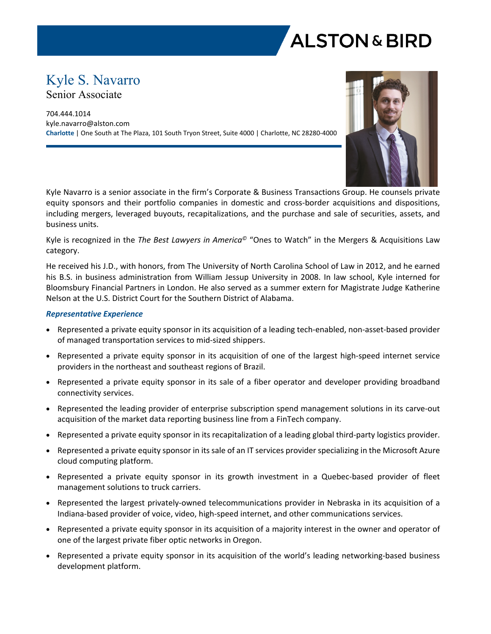

# Kyle S. Navarro Senior Associate

704.444.1014 kyle.navarro@alston.com **Charlotte** | One South at The Plaza, 101 South Tryon Street, Suite 4000 | Charlotte, NC 28280-4000



Kyle Navarro is a senior associate in the firm's Corporate & Business Transactions Group. He counsels private equity sponsors and their portfolio companies in domestic and cross-border acquisitions and dispositions, including mergers, leveraged buyouts, recapitalizations, and the purchase and sale of securities, assets, and business units.

Kyle is recognized in the *The Best Lawyers in America©* "Ones to Watch" in the Mergers & Acquisitions Law category.

He received his J.D., with honors, from The University of North Carolina School of Law in 2012, and he earned his B.S. in business administration from William Jessup University in 2008. In law school, Kyle interned for Bloomsbury Financial Partners in London. He also served as a summer extern for Magistrate Judge Katherine Nelson at the U.S. District Court for the Southern District of Alabama.

## *Representative Experience*

- Represented a private equity sponsor in its acquisition of a leading tech-enabled, non-asset-based provider of managed transportation services to mid-sized shippers.
- Represented a private equity sponsor in its acquisition of one of the largest high-speed internet service providers in the northeast and southeast regions of Brazil.
- Represented a private equity sponsor in its sale of a fiber operator and developer providing broadband connectivity services.
- Represented the leading provider of enterprise subscription spend management solutions in its carve-out acquisition of the market data reporting business line from a FinTech company.
- Represented a private equity sponsor in its recapitalization of a leading global third-party logistics provider.
- Represented a private equity sponsor in its sale of an IT services provider specializing in the Microsoft Azure cloud computing platform.
- Represented a private equity sponsor in its growth investment in a Quebec-based provider of fleet management solutions to truck carriers.
- Represented the largest privately-owned telecommunications provider in Nebraska in its acquisition of a Indiana-based provider of voice, video, high-speed internet, and other communications services.
- Represented a private equity sponsor in its acquisition of a majority interest in the owner and operator of one of the largest private fiber optic networks in Oregon.
- Represented a private equity sponsor in its acquisition of the world's leading networking-based business development platform.